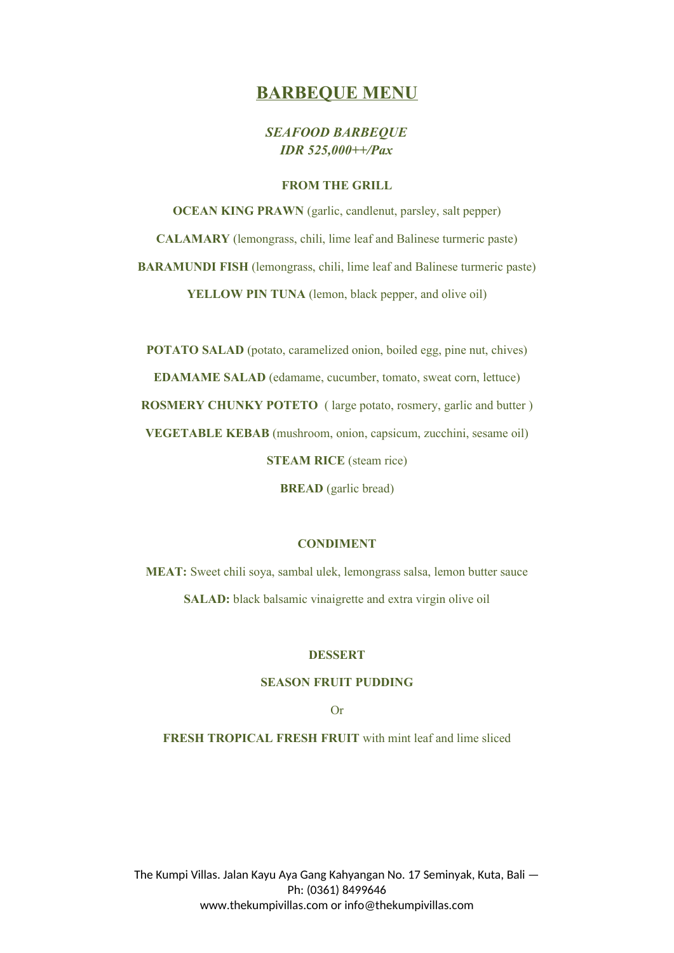# **BARBEQUE MENU**

# *SEAFOOD BARBEQUE IDR 525,000++/Pax*

#### **FROM THE GRILL**

**OCEAN KING PRAWN** (garlic, candlenut, parsley, salt pepper) **CALAMARY** (lemongrass, chili, lime leaf and Balinese turmeric paste) **BARAMUNDI FISH** (lemongrass, chili, lime leaf and Balinese turmeric paste) **YELLOW PIN TUNA** (lemon, black pepper, and olive oil)

**POTATO SALAD** (potato, caramelized onion, boiled egg, pine nut, chives) **EDAMAME SALAD** (edamame, cucumber, tomato, sweat corn, lettuce) **ROSMERY CHUNKY POTETO** ( large potato, rosmery, garlic and butter ) **VEGETABLE KEBAB** (mushroom, onion, capsicum, zucchini, sesame oil) **STEAM RICE** (steam rice)

**BREAD** (garlic bread)

#### **CONDIMENT**

**MEAT:** Sweet chili soya, sambal ulek, lemongrass salsa, lemon butter sauce **SALAD:** black balsamic vinaigrette and extra virgin olive oil

#### **DESSERT**

#### **SEASON FRUIT PUDDING**

#### Or

**FRESH TROPICAL FRESH FRUIT** with mint leaf and lime sliced

The Kumpi Villas. Jalan Kayu Aya Gang Kahyangan No. 17 Seminyak, Kuta, Bali — Ph: (0361) 8499646 www.thekumpivillas.com or info@thekumpivillas.com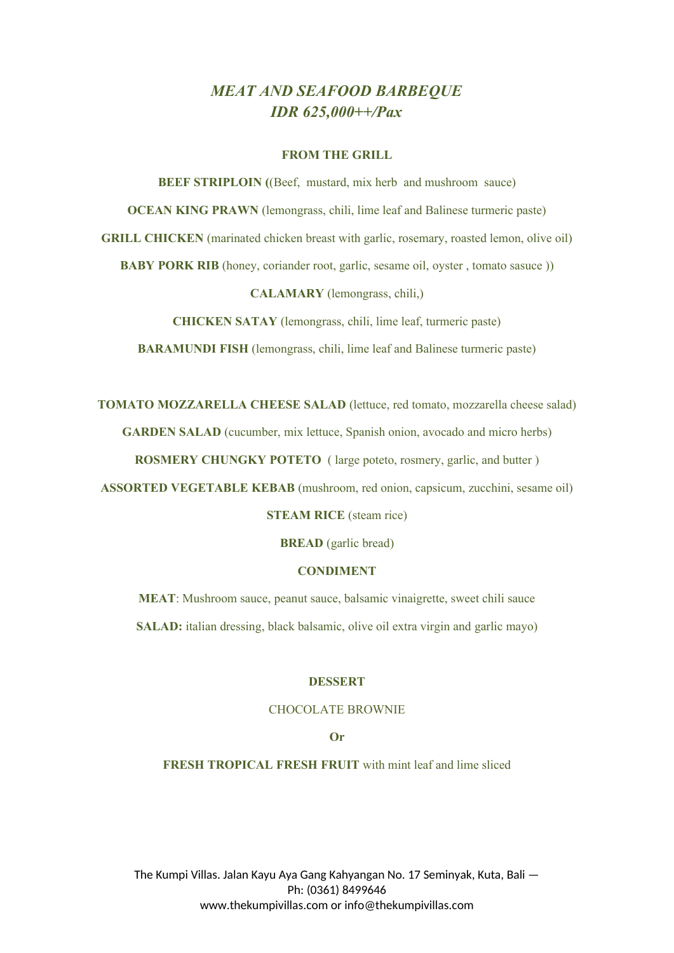# *MEAT AND SEAFOOD BARBEQUE IDR 625,000++/Pax*

#### **FROM THE GRILL**

**BEEF STRIPLOIN** ((Beef, mustard, mix herb and mushroom sauce) **OCEAN KING PRAWN** (lemongrass, chili, lime leaf and Balinese turmeric paste) **GRILL CHICKEN** (marinated chicken breast with garlic, rosemary, roasted lemon, olive oil) **BABY PORK RIB** (honey, coriander root, garlic, sesame oil, oyster, tomato sasuce)) **CALAMARY** (lemongrass, chili,)

**CHICKEN SATAY** (lemongrass, chili, lime leaf, turmeric paste)

**BARAMUNDI FISH** (lemongrass, chili, lime leaf and Balinese turmeric paste)

**TOMATO MOZZARELLA CHEESE SALAD** (lettuce, red tomato, mozzarella cheese salad) **GARDEN SALAD** (cucumber, mix lettuce, Spanish onion, avocado and micro herbs) **ROSMERY CHUNGKY POTETO** ( large poteto, rosmery, garlic, and butter ) **ASSORTED VEGETABLE KEBAB** (mushroom, red onion, capsicum, zucchini, sesame oil)

**STEAM RICE** (steam rice)

**BREAD** (garlic bread)

#### **CONDIMENT**

**MEAT**: Mushroom sauce, peanut sauce, balsamic vinaigrette, sweet chili sauce **SALAD:** italian dressing, black balsamic, olive oil extra virgin and garlic mayo)

#### **DESSERT**

#### CHOCOLATE BROWNIE

## **Or**

**FRESH TROPICAL FRESH FRUIT** with mint leaf and lime sliced

The Kumpi Villas. Jalan Kayu Aya Gang Kahyangan No. 17 Seminyak, Kuta, Bali — Ph: (0361) 8499646 www.thekumpivillas.com or info@thekumpivillas.com